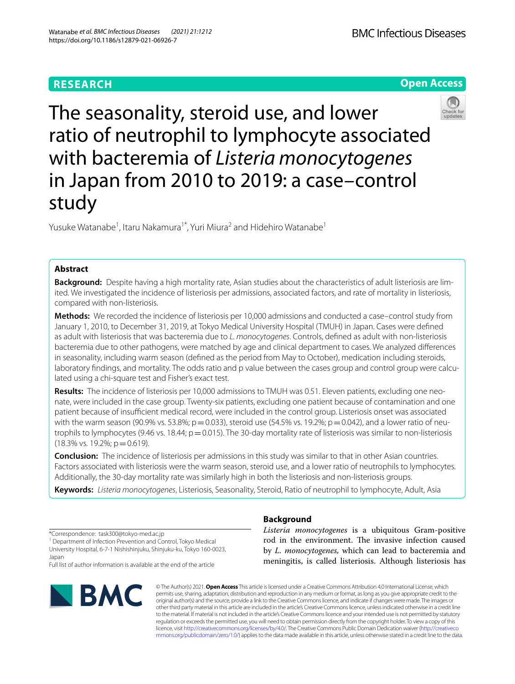# **RESEARCH**

**Open Access**



The seasonality, steroid use, and lower ratio of neutrophil to lymphocyte associated with bacteremia of *Listeria monocytogenes* in Japan from 2010 to 2019: a case–control study

Yusuke Watanabe<sup>1</sup>, Itaru Nakamura<sup>1\*</sup>, Yuri Miura<sup>2</sup> and Hidehiro Watanabe<sup>1</sup>

# **Abstract**

**Background:** Despite having a high mortality rate, Asian studies about the characteristics of adult listeriosis are limited. We investigated the incidence of listeriosis per admissions, associated factors, and rate of mortality in listeriosis, compared with non-listeriosis.

**Methods:** We recorded the incidence of listeriosis per 10,000 admissions and conducted a case–control study from January 1, 2010, to December 31, 2019, at Tokyo Medical University Hospital (TMUH) in Japan. Cases were defned as adult with listeriosis that was bacteremia due to *L. monocytogenes*. Controls, defned as adult with non-listeriosis bacteremia due to other pathogens, were matched by age and clinical department to cases. We analyzed diferences in seasonality, including warm season (defned as the period from May to October), medication including steroids, laboratory fndings, and mortality. The odds ratio and p value between the cases group and control group were calculated using a chi-square test and Fisher's exact test.

**Results:** The incidence of listeriosis per 10,000 admissions to TMUH was 0.51. Eleven patients, excluding one neonate, were included in the case group. Twenty-six patients, excluding one patient because of contamination and one patient because of insufficient medical record, were included in the control group. Listeriosis onset was associated with the warm season (90.9% vs. 53.8%;  $p = 0.033$ ), steroid use (54.5% vs. 19.2%;  $p = 0.042$ ), and a lower ratio of neutrophils to lymphocytes (9.46 vs. 18.44;  $p = 0.015$ ). The 30-day mortality rate of listeriosis was similar to non-listeriosis  $(18.3\% \text{ vs. } 19.2\%; \text{ p} = 0.619).$ 

**Conclusion:** The incidence of listeriosis per admissions in this study was similar to that in other Asian countries. Factors associated with listeriosis were the warm season, steroid use, and a lower ratio of neutrophils to lymphocytes. Additionally, the 30-day mortality rate was similarly high in both the listeriosis and non-listeriosis groups.

**Keywords:** *Listeria monocytogenes*, Listeriosis, Seasonality, Steroid, Ratio of neutrophil to lymphocyte, Adult, Asia

\*Correspondence: task300@tokyo-med.ac.jp

<sup>1</sup> Department of Infection Prevention and Control, Tokyo Medical University Hospital, 6-7-1 Nishishinjuku, Shinjuku-ku, Tokyo 160-0023, Japan

Full list of author information is available at the end of the article



# **Background**

*Listeria monocytogenes* is a ubiquitous Gram-positive rod in the environment. The invasive infection caused by *L. monocytogenes,* which can lead to bacteremia and meningitis, is called listeriosis. Although listeriosis has

© The Author(s) 2021. **Open Access** This article is licensed under a Creative Commons Attribution 4.0 International License, which permits use, sharing, adaptation, distribution and reproduction in any medium or format, as long as you give appropriate credit to the original author(s) and the source, provide a link to the Creative Commons licence, and indicate if changes were made. The images or other third party material in this article are included in the article's Creative Commons licence, unless indicated otherwise in a credit line to the material. If material is not included in the article's Creative Commons licence and your intended use is not permitted by statutory regulation or exceeds the permitted use, you will need to obtain permission directly from the copyright holder. To view a copy of this licence, visit [http://creativecommons.org/licenses/by/4.0/.](http://creativecommons.org/licenses/by/4.0/) The Creative Commons Public Domain Dedication waiver ([http://creativeco](http://creativecommons.org/publicdomain/zero/1.0/) [mmons.org/publicdomain/zero/1.0/](http://creativecommons.org/publicdomain/zero/1.0/)) applies to the data made available in this article, unless otherwise stated in a credit line to the data.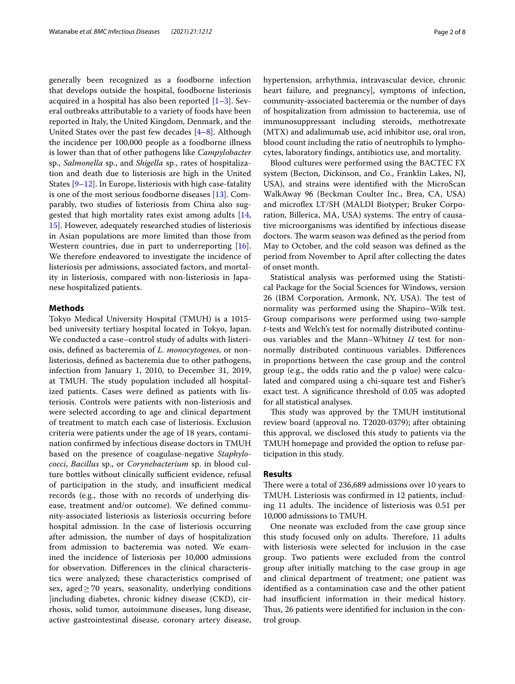generally been recognized as a foodborne infection that develops outside the hospital, foodborne listeriosis acquired in a hospital has also been reported  $[1-3]$  $[1-3]$  $[1-3]$ . Several outbreaks attributable to a variety of foods have been reported in Italy, the United Kingdom, Denmark, and the United States over the past few decades [[4–](#page-6-2)[8](#page-6-3)]. Although the incidence per 100,000 people as a foodborne illness is lower than that of other pathogens like *Campylobacter* sp., *Salmonella* sp., and *Shigella* sp., rates of hospitalization and death due to listeriosis are high in the United States [\[9](#page-6-4)[–12](#page-6-5)]. In Europe, listeriosis with high case-fatality is one of the most serious foodborne diseases [[13\]](#page-6-6). Comparably, two studies of listeriosis from China also suggested that high mortality rates exist among adults [\[14](#page-6-7), [15\]](#page-6-8). However, adequately researched studies of listeriosis in Asian populations are more limited than those from Western countries, due in part to underreporting [\[16](#page-7-0)]. We therefore endeavored to investigate the incidence of listeriosis per admissions, associated factors, and mortality in listeriosis, compared with non-listeriosis in Japanese hospitalized patients.

### **Methods**

Tokyo Medical University Hospital (TMUH) is a 1015 bed university tertiary hospital located in Tokyo, Japan. We conducted a case–control study of adults with listeriosis, defned as bacteremia of *L. monocytogenes,* or nonlisteriosis, defned as bacteremia due to other pathogens, infection from January 1, 2010, to December 31, 2019, at TMUH. The study population included all hospitalized patients. Cases were defned as patients with listeriosis. Controls were patients with non-listeriosis and were selected according to age and clinical department of treatment to match each case of listeriosis. Exclusion criteria were patients under the age of 18 years, contamination confrmed by infectious disease doctors in TMUH based on the presence of coagulase-negative *Staphylococci*, *Bacillus* sp., or *Corynebacterium* sp. in blood culture bottles without clinically sufficient evidence, refusal of participation in the study, and insufficient medical records (e.g., those with no records of underlying disease, treatment and/or outcome). We defned community-associated listeriosis as listeriosis occurring before hospital admission. In the case of listeriosis occurring after admission, the number of days of hospitalization from admission to bacteremia was noted. We examined the incidence of listeriosis per 10,000 admissions for observation. Diferences in the clinical characteristics were analyzed; these characteristics comprised of sex, aged $\geq$  70 years, seasonality, underlying conditions [including diabetes, chronic kidney disease (CKD), cirrhosis, solid tumor, autoimmune diseases, lung disease, active gastrointestinal disease, coronary artery disease,

hypertension, arrhythmia, intravascular device, chronic heart failure, and pregnancy], symptoms of infection, community-associated bacteremia or the number of days of hospitalization from admission to bacteremia, use of immunosuppressant including steroids, methotrexate (MTX) and adalimumab use, acid inhibitor use, oral iron, blood count including the ratio of neutrophils to lymphocytes, laboratory fndings, antibiotics use, and mortality.

Blood cultures were performed using the BACTEC FX system (Becton, Dickinson, and Co., Franklin Lakes, NJ, USA), and strains were identifed with the MicroScan WalkAway 96 (Beckman Coulter Inc., Brea, CA, USA) and microfex LT/SH (MALDI Biotyper; Bruker Corporation, Billerica, MA, USA) systems. The entry of causative microorganisms was identifed by infectious disease doctors. The warm season was defined as the period from May to October, and the cold season was defned as the period from November to April after collecting the dates of onset month.

Statistical analysis was performed using the Statistical Package for the Social Sciences for Windows, version 26 (IBM Corporation, Armonk, NY, USA). The test of normality was performed using the Shapiro–Wilk test. Group comparisons were performed using two-sample *t*-tests and Welch's test for normally distributed continuous variables and the Mann–Whitney *U* test for nonnormally distributed continuous variables. Diferences in proportions between the case group and the control group (e.g., the odds ratio and the p value) were calculated and compared using a chi-square test and Fisher's exact test. A signifcance threshold of 0.05 was adopted for all statistical analyses.

This study was approved by the TMUH institutional review board (approval no. T2020-0379); after obtaining this approval, we disclosed this study to patients via the TMUH homepage and provided the option to refuse participation in this study.

### **Results**

There were a total of 236,689 admissions over 10 years to TMUH. Listeriosis was confrmed in 12 patients, including 11 adults. The incidence of listeriosis was 0.51 per 10,000 admissions to TMUH.

One neonate was excluded from the case group since this study focused only on adults. Therefore, 11 adults with listeriosis were selected for inclusion in the case group. Two patients were excluded from the control group after initially matching to the case group in age and clinical department of treatment; one patient was identifed as a contamination case and the other patient had insufficient information in their medical history. Thus, 26 patients were identified for inclusion in the control group.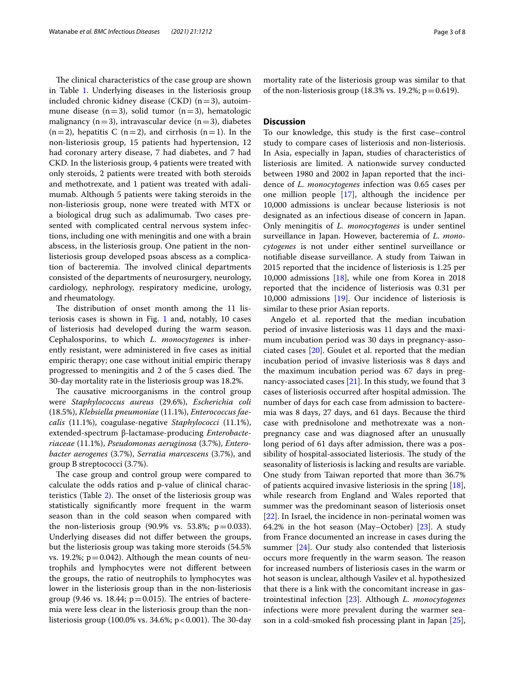The clinical characteristics of the case group are shown in Table [1](#page-3-0). Underlying diseases in the listeriosis group included chronic kidney disease (CKD)  $(n=3)$ , autoimmune disease  $(n=3)$ , solid tumor  $(n=3)$ , hematologic malignancy ( $n=3$ ), intravascular device ( $n=3$ ), diabetes  $(n=2)$ , hepatitis C  $(n=2)$ , and cirrhosis  $(n=1)$ . In the non-listeriosis group, 15 patients had hypertension, 12 had coronary artery disease, 7 had diabetes, and 7 had CKD. In the listeriosis group, 4 patients were treated with only steroids, 2 patients were treated with both steroids and methotrexate, and 1 patient was treated with adalimumab. Although 5 patients were taking steroids in the non-listeriosis group, none were treated with MTX or a biological drug such as adalimumab. Two cases presented with complicated central nervous system infections, including one with meningitis and one with a brain abscess, in the listeriosis group. One patient in the nonlisteriosis group developed psoas abscess as a complication of bacteremia. The involved clinical departments consisted of the departments of neurosurgery, neurology, cardiology, nephrology, respiratory medicine, urology, and rheumatology.

The distribution of onset month among the 11 listeriosis cases is shown in Fig.  $1$  and, notably,  $10$  cases of listeriosis had developed during the warm season. Cephalosporins, to which *L. monocytogenes* is inherently resistant, were administered in fve cases as initial empiric therapy; one case without initial empiric therapy progressed to meningitis and 2 of the 5 cases died. The 30-day mortality rate in the listeriosis group was 18.2%.

The causative microorganisms in the control group were *Staphylococcus aureus* (29.6%), *Escherichia coli* (18.5%), *Klebsiella pneumoniae* (11.1%), *Enterococcus faecalis* (11.1%), coagulase-negative *Staphylococci* (11.1%), extended-spectrum β-lactamase-producing *Enterobacteriaceae* (11.1%), *Pseudomonas aeruginosa* (3.7%), *Enterobacter aerogenes* (3.7%), *Serratia marcescens* (3.7%), and group B streptococci (3.7%).

The case group and control group were compared to calculate the odds ratios and p-value of clinical charac-teristics (Table [2\)](#page-5-0). The onset of the listeriosis group was statistically signifcantly more frequent in the warm season than in the cold season when compared with the non-listeriosis group  $(90.9\% \text{ vs. } 53.8\%; \text{ p} = 0.033)$ . Underlying diseases did not difer between the groups, but the listeriosis group was taking more steroids (54.5% vs. 19.2%;  $p = 0.042$ ). Although the mean counts of neutrophils and lymphocytes were not diferent between the groups, the ratio of neutrophils to lymphocytes was lower in the listeriosis group than in the non-listeriosis group (9.46 vs. 18.44;  $p=0.015$ ). The entries of bacteremia were less clear in the listeriosis group than the nonlisteriosis group (100.0% vs. 34.6%;  $p < 0.001$ ). The 30-day mortality rate of the listeriosis group was similar to that of the non-listeriosis group (18.3% vs. 19.2%;  $p = 0.619$ ).

## **Discussion**

To our knowledge, this study is the frst case–control study to compare cases of listeriosis and non-listeriosis. In Asia, especially in Japan, studies of characteristics of listeriosis are limited. A nationwide survey conducted between 1980 and 2002 in Japan reported that the incidence of *L. monocytogenes* infection was 0.65 cases per one million people [\[17](#page-7-1)], although the incidence per 10,000 admissions is unclear because listeriosis is not designated as an infectious disease of concern in Japan. Only meningitis of *L. monocytogenes* is under sentinel surveillance in Japan. However, bacteremia of *L. monocytogenes* is not under either sentinel surveillance or notifable disease surveillance. A study from Taiwan in 2015 reported that the incidence of listeriosis is 1.25 per 10,000 admissions [[18](#page-7-2)], while one from Korea in 2018 reported that the incidence of listeriosis was 0.31 per 10,000 admissions [[19\]](#page-7-3). Our incidence of listeriosis is similar to these prior Asian reports.

Angelo et al. reported that the median incubation period of invasive listeriosis was 11 days and the maximum incubation period was 30 days in pregnancy-associated cases [\[20](#page-7-4)]. Goulet et al. reported that the median incubation period of invasive listeriosis was 8 days and the maximum incubation period was 67 days in pregnancy-associated cases  $[21]$  $[21]$ . In this study, we found that 3 cases of listeriosis occurred after hospital admission. The number of days for each case from admission to bacteremia was 8 days, 27 days, and 61 days. Because the third case with prednisolone and methotrexate was a nonpregnancy case and was diagnosed after an unusually long period of 61 days after admission, there was a possibility of hospital-associated listeriosis. The study of the seasonality of listeriosis is lacking and results are variable. One study from Taiwan reported that more than 36.7% of patients acquired invasive listeriosis in the spring [\[18](#page-7-2)], while research from England and Wales reported that summer was the predominant season of listeriosis onset [[22\]](#page-7-6). In Israel, the incidence in non-perinatal women was 64.2% in the hot season (May–October) [\[23](#page-7-7)]. A study from France documented an increase in cases during the summer [[24\]](#page-7-8). Our study also contended that listeriosis occurs more frequently in the warm season. The reason for increased numbers of listeriosis cases in the warm or hot season is unclear, although Vasilev et al. hypothesized that there is a link with the concomitant increase in gastrointestinal infection [\[23\]](#page-7-7). Although *L. monocytogenes* infections were more prevalent during the warmer season in a cold-smoked fsh processing plant in Japan [\[25](#page-7-9)],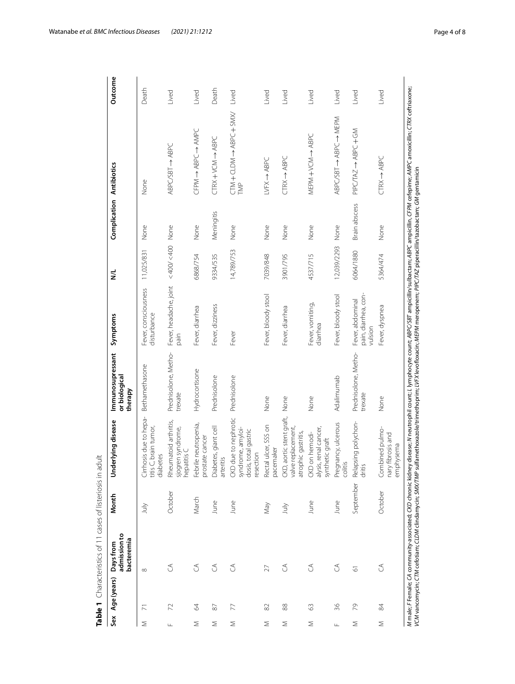|                        | Sex Age (years) Days from | admission to<br>bacteremia | Month     | Underlying disease                                                                                                                                                       | Immunosupressant<br>or biological<br>therapy | Symptoms                                            | $\leq$      | <b>Complication Antibiotics</b> |                                                                                                                                                                                                                   | Outcome |
|------------------------|---------------------------|----------------------------|-----------|--------------------------------------------------------------------------------------------------------------------------------------------------------------------------|----------------------------------------------|-----------------------------------------------------|-------------|---------------------------------|-------------------------------------------------------------------------------------------------------------------------------------------------------------------------------------------------------------------|---------|
| Σ                      | ŕ                         | $\infty$                   | July      | Cirrhosis due to hepa-<br>titis C, brain tumor,<br>diabetes                                                                                                              | Bethamethasone                               | Fever, consciousness<br>disturbance                 | 11,025/831  | None                            | None                                                                                                                                                                                                              | Death   |
| $\mathsf{L}\mathsf{L}$ | 72                        | $\mathcal{L}$              | October   | Rheumatoid arthritis,<br>sjogren syndrome,<br>hepatitis C                                                                                                                | Prednisolone, Metho-<br>trexate              | Fever, headache, joint <400/<400 None<br>pain       |             |                                 | $ABPC/SBT \rightarrow ABPC$                                                                                                                                                                                       | Lived   |
| $\leq$                 | $\mathcal{Q}$             | $\mathcal{L}$              | March     | Febrile neutropenia,<br>prostate cancer                                                                                                                                  | Hydrocortisone                               | Fever, diarrhea                                     | 6868/754    | None                            | UANY 1 UABY 1 NALU                                                                                                                                                                                                | Lived   |
| Σ                      | $\approx$                 | $\mathcal{L}$              | June      | Diabetes, giant cell<br>arteritis                                                                                                                                        | Prednisolone                                 | Fever, dizziness                                    | 9334/535    | Meningitis                      | $CIRX+VCM \rightarrow ABPC$                                                                                                                                                                                       | Death   |
| $\leq$                 | 77                        | $\mathcal{L}$              | June      | due to nephrotic<br>syndrome, amyloi-<br>dosis, total gastric<br>resection<br>CKD                                                                                        | Prednisolone                                 | Fever                                               | 14,789/753  | None                            | TMP                                                                                                                                                                                                               | Lived   |
| $\leq$                 | $\approx$                 | 27                         | VeW       | Rectal ulcer, SSS on<br>pacemaker                                                                                                                                        | None                                         | Fever, bloody stool                                 | 7039/848    | None                            | $LVFX \rightarrow ABPC$                                                                                                                                                                                           | Lived   |
| Σ                      | $88$                      | $\mathcal{L}$              | July      | CKD, aortic stent graft,<br>valve replacement,<br>atrophic gastritis,                                                                                                    | None                                         | Fever, diarrhea                                     | 3901/795    | None                            | $CTRX \rightarrow ABPC$                                                                                                                                                                                           | Lived   |
| Σ                      | 63                        | $\mathcal{L}$              | June      | alysis, renal cancer,<br>CKD on hemodi-<br>synthetic graft                                                                                                               | None                                         | Fever, vomiting,<br>diarrhea                        | 4537/715    | None                            | MEPM + YOH + ABC                                                                                                                                                                                                  | Lived   |
| Щ                      | 36                        | $\mathcal{L}$              | June      | Pregnancy, ulcerous<br>colitis                                                                                                                                           | Adalimumab                                   | Fever, bloody stool                                 | 12,039/2293 | None                            | $ABPC/SBT \rightarrow ABPC \rightarrow MEPM$                                                                                                                                                                      | Lived   |
| Σ                      | 29                        | $\overline{6}$             | September | Relapsing polychon-<br>dritis                                                                                                                                            | Prednisolone, Metho-<br>trexate              | pain, diarrhea, con-<br>Fever, abdominal<br>vulsion | 6064/1880   | Brain abscess                   | PIPC/TAZ -> ABPC + GM                                                                                                                                                                                             | Lived   |
| $\geq$                 | 54                        | $\mathcal{L}$              | October   | Combined pulmo-<br>nary fibrosis and<br>emphysema                                                                                                                        | None                                         | Fever, dyspnea                                      | 5364/474    | None                            | $CTRX \rightarrow ABFC$                                                                                                                                                                                           | Lived   |
|                        |                           |                            |           | VCM vancomycin; CTM cefotiam; CLDM clindamycin; SMX/TMP sulfamethoxazole/trimethoprim; UFX levofloxacin; MEPM meropenem; PIPC/TAZ piperacillin/tazobactam; GM gentamicin |                                              |                                                     |             |                                 | M male; F Female; CA community-associated; CKD chronic kidney disease; N neutrophil count; L lymphocyte count; ABPC/SBT ampicillin/sulbactam; ABPC ampicillin, CFPM cefepime; AMPC amoxicillin; CTRX ceftriaxone; |         |

<span id="page-3-0"></span>Table 1 Characteristics of 11 cases of listeriosis in adult **Table 1** Characteristics of 11 cases of listeriosis in adult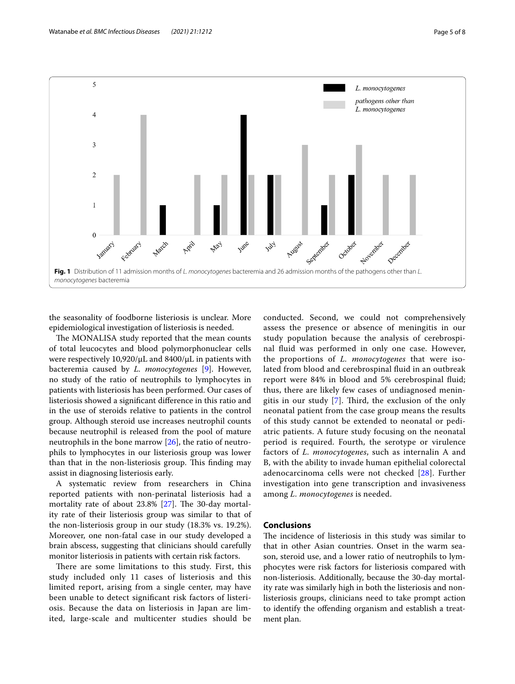

<span id="page-4-0"></span>the seasonality of foodborne listeriosis is unclear. More epidemiological investigation of listeriosis is needed.

The MONALISA study reported that the mean counts of total leucocytes and blood polymorphonuclear cells were respectively 10,920/μL and 8400/μL in patients with bacteremia caused by *L. monocytogenes* [[9\]](#page-6-4). However, no study of the ratio of neutrophils to lymphocytes in patients with listeriosis has been performed. Our cases of listeriosis showed a signifcant diference in this ratio and in the use of steroids relative to patients in the control group. Although steroid use increases neutrophil counts because neutrophil is released from the pool of mature neutrophils in the bone marrow [[26\]](#page-7-10), the ratio of neutrophils to lymphocytes in our listeriosis group was lower than that in the non-listeriosis group. This finding may assist in diagnosing listeriosis early.

A systematic review from researchers in China reported patients with non-perinatal listeriosis had a mortality rate of about  $23.8\%$  [\[27\]](#page-7-11). The 30-day mortality rate of their listeriosis group was similar to that of the non-listeriosis group in our study (18.3% vs. 19.2%). Moreover, one non-fatal case in our study developed a brain abscess, suggesting that clinicians should carefully monitor listeriosis in patients with certain risk factors.

There are some limitations to this study. First, this study included only 11 cases of listeriosis and this limited report, arising from a single center, may have been unable to detect signifcant risk factors of listeriosis. Because the data on listeriosis in Japan are limited, large-scale and multicenter studies should be conducted. Second, we could not comprehensively assess the presence or absence of meningitis in our study population because the analysis of cerebrospinal fuid was performed in only one case. However, the proportions of *L. monocytogenes* that were isolated from blood and cerebrospinal fuid in an outbreak report were 84% in blood and 5% cerebrospinal fuid; thus, there are likely few cases of undiagnosed meningitis in our study  $[7]$  $[7]$ . Third, the exclusion of the only neonatal patient from the case group means the results of this study cannot be extended to neonatal or pediatric patients. A future study focusing on the neonatal period is required. Fourth, the serotype or virulence factors of *L. monocytogenes*, such as internalin A and B, with the ability to invade human epithelial colorectal adenocarcinoma cells were not checked [[28\]](#page-7-12). Further investigation into gene transcription and invasiveness among *L. monocytogenes* is needed.

## **Conclusions**

The incidence of listeriosis in this study was similar to that in other Asian countries. Onset in the warm season, steroid use, and a lower ratio of neutrophils to lymphocytes were risk factors for listeriosis compared with non-listeriosis. Additionally, because the 30-day mortality rate was similarly high in both the listeriosis and nonlisteriosis groups, clinicians need to take prompt action to identify the ofending organism and establish a treatment plan.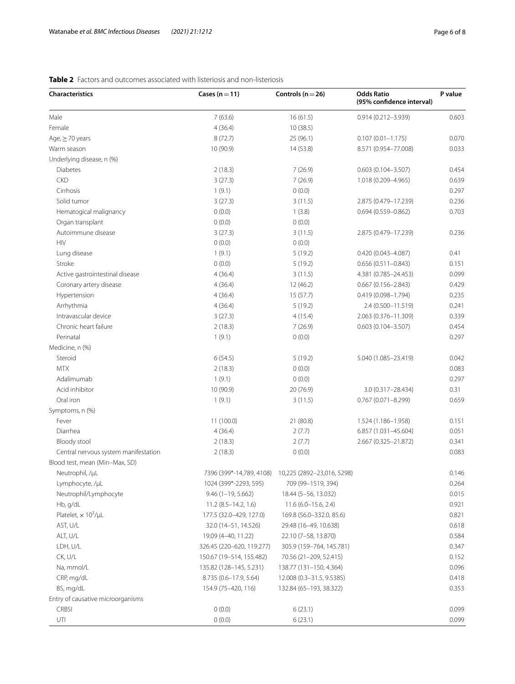# **Characteristics Cases (n**=**11) Controls (n**=**26) Odds Ratio (95% confdence interval) P value** Male 7 (63.6) 16 (61.5) 0.914 (0.212–3.939) 0.603 Female 10 (38.5) 10 (38.5) Age, ≥70 years and the set of the set of the set of the set of the set of the set of the set of the set of the set of the set of the set of the set of the set of the set of the set of the set of the set of the set of the Warm season 10 (90.9) 10 (90.9) 14 (53.8) 8.571 (0.954–77.008) 0.033 Underlying disease, n (%) Diabetes 2 (18.3) 7 (26.9) 0.603 (0.104–3.507) 0.454 CKD 3 (27.3) 7 (26.9) 1.018 (0.209–4.965) 0.639 Cirrhosis 1 (9.1) 0 (0.0) 0.297 Solid tumor 3 (27.3) 3 (11.5) 2.875 (0.479–17.239) 0.236 Hematogical malignancy 0 (0.0) 0 (0.0) 1 (3.8) 0.694 (0.559-0.862) 0.703 Organ transplant 0 (0.0) 0 (0.0) Autoimmune disease 3 (27.3) 3 (27.3) 3 (11.5) 3 (11.5) 2.875 (0.479–17.239 0.236 HIV 0 (0.0) 0 (0.0) Lung disease 1 (9.1) 5 (19.2) 0.420 (0.043–4.087) 0.41 Stroke 0 0.00 0.00 0.00 0.00 0.00 0.51 0.151 0.151 0.151 0.151 0.151 0.151 0.151 0.151 0.151 0.151 0.151 0.151 Active gastrointestinal disease  $4 \times (36.4)$   $3 \times (11.5)$   $4.381 \times (0.785 - 24.453)$  0.099 Coronary artery disease 4 (36.4) 12 (46.2) 0.667 (0.156–2.843) 0.429 Hypertension 4 (36.4) 15 (57.7) 0.419 (0.098–1.794) 0.235 Arrhythmia 4 (36.4) 5 (19.2) 2.4 (0.500–11.519) 0.241 Intravascular device 3 (27.3) 4 (15.4) 2.063 (0.376–11.309) 0.339 Chronic heart failure 2 (18.3) 7 (26.9) 0.603 (0.104–3.507) 0.454 Perinatal 2002/07/09 0.297 0.297 0.297 0.297 0.297 0.297 0.297 0.297 0.297 0.297 0.297 0.297 0.297 0.297 0.297 Medicine, n (%) Steroid 6 (54.5) 5 (19.2) 5.040 (1.085–23.419) 0.042  $2(18.3)$  0.083 Adalimumab 1 (9.1) 0 (0.0) 0.297 Acid inhibitor **10 (90.9)** 20 (76.9) 20 (76.9) 20 (76.9) 3.0 (0.317–28.434) 0.31 Oral iron 1 (9.1) 3 (11.5) 0.767 (0.071–8.299) 0.659 Symptoms, n (%) Fever 11 (100.0) 21 (80.8) 1.524 (1.186–1.958) 0.151 Diarrhea 4 (36.4) 2 (7.7) 6.857 (1.031–45.604) 0.051 Bloody stool 2 (18.3) 2 (7.7) 2.667 (0.325–21.872) 0.341 Central nervous system manifestation  $2(18.3)$  0.000 0.000 0.0033 Blood test, mean (Min–Max, SD) Neutrophil, /μL 7396 (399\*-14,789, 4108) 10,225 (2892–23,016, 5298) 0.146 Lymphocyte, /µL 1024 (399\*-2293, 595) 709 (99–1519, 394) 0.264 Neutrophil/Lymphocyte 9.46 (1–19, 5.662) 18.44 (5–56, 13.032) 0.015 Hb, g/dL 11.2 (8.5–14.2, 1.6) 11.6 (6.0–15.6, 2.4) 0.921 Platelet,  $\times 10^3/\mu L$ /μL 177.5 (32.0–429, 127.0) 169.8 (56.0–332.0, 85.6) 0.821 AST, U/L 32.0 (14–51, 14.526) 29.48 (16–49, 10.638) 30.618 ALT, U/L 20.10 (7–58, 13.870) 22.10 (7–58, 13.870) 22.10 (7–58, 13.870) LDH, U/L 326.45 (220–620, 119.277) 305.9 (159–764, 145.781) 0.347 CK, U/L 150.67 (19–514, 155.482) 70.56 (21–209, 52.415) 0.152 Na, mmol/L 135.82 (128–145, 5.231) 138.77 (131–150, 4.364) 0.096 CRP, mg/dL 8.735 (0.6–17.9, 5.64) 12.008 (0.3–31.5, 9.5385) 0.418 BS, mg/dL 154.9 (75–420, 116) 132.84 (65–193, 38.322) 0.353 Entry of causative microorganisms CRBSI 0 (0.0) 6 (23.1) 0.099

UTI  $0(0.0)$  6 (23.1) 0.099

# <span id="page-5-0"></span>**Table 2** Factors and outcomes associated with listeriosis and non-listeriosis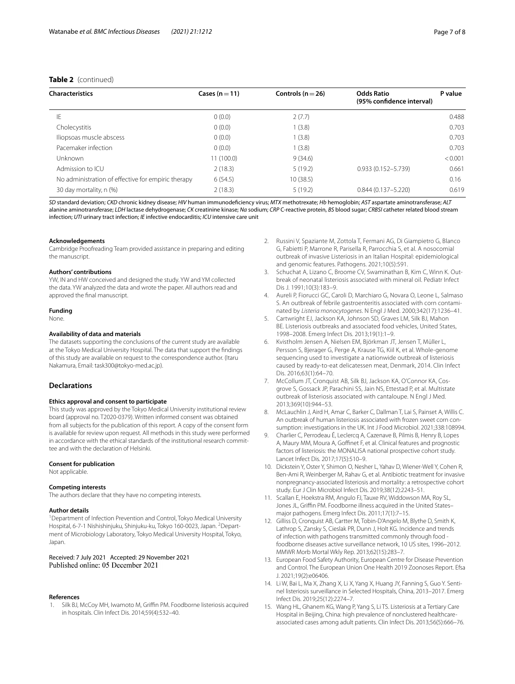## **Table 2** (continued)

| <b>Characteristics</b>                             | Cases $(n=11)$ | Controls ( $n = 26$ ) | <b>Odds Ratio</b><br>(95% confidence interval) | P value |
|----------------------------------------------------|----------------|-----------------------|------------------------------------------------|---------|
| ΙE                                                 | 0(0.0)         | 2(7.7)                |                                                | 0.488   |
| Cholecystitis                                      | 0(0.0)         | 1(3.8)                |                                                | 0.703   |
| lliopsoas muscle abscess                           | 0(0.0)         | 1(3.8)                |                                                | 0.703   |
| Pacemaker infection                                | 0(0.0)         | 1(3.8)                |                                                | 0.703   |
| <b>Unknown</b>                                     | 11(100.0)      | 9(34.6)               |                                                | < 0.001 |
| Admission to ICU                                   | 2(18.3)        | 5(19.2)               | $0.933(0.152 - 5.739)$                         | 0.661   |
| No administration of effective for empiric therapy | 6(54.5)        | 10(38.5)              |                                                | 0.16    |
| 30 day mortality, n (%)                            | 2(18.3)        | 5(19.2)               | $0.844(0.137 - 5.220)$                         | 0.619   |

*SD* standard deviation; *CKD* chronic kidney disease; *HIV* human immunodefciency virus; *MTX* methotrexate; *Hb* hemoglobin; *AST* aspartate aminotransferase; *ALT* alanine aminotransferase; *LDH* lactase dehydrogenase; *CK* creatinine kinase; *Na* sodium; *CRP* C-reactive protein, *BS* blood sugar; *CRBSI* catheter related blood stream infection; *UTI* urinary tract infection; *IE* infective endocarditis; *ICU* intensive care unit

#### **Acknowledgements**

Cambridge Proofreading Team provided assistance in preparing and editing the manuscript.

#### **Authors' contributions**

YW, IN and HW conceived and designed the study. YW and YM collected the data. YW analyzed the data and wrote the paper. All authors read and approved the fnal manuscript.

#### **Funding**

None.

#### **Availability of data and materials**

The datasets supporting the conclusions of the current study are available at the Tokyo Medical University Hospital. The data that support the fndings of this study are available on request to the correspondence author. (Itaru Nakamura, Email: task300@tokyo-med.ac.jp).

## **Declarations**

#### **Ethics approval and consent to participate**

This study was approved by the Tokyo Medical University institutional review board (approval no. T2020-0379). Written informed consent was obtained from all subjects for the publication of this report. A copy of the consent form is available for review upon request. All methods in this study were performed in accordance with the ethical standards of the institutional research committee and with the declaration of Helsinki.

#### **Consent for publication**

Not applicable.

#### **Competing interests**

The authors declare that they have no competing interests.

#### **Author details**

<sup>1</sup> Department of Infection Prevention and Control, Tokyo Medical University Hospital, 6-7-1 Nishishinjuku, Shinjuku-ku, Tokyo 160-0023, Japan. <sup>2</sup>Department of Microbiology Laboratory, Tokyo Medical University Hospital, Tokyo, Japan.

Received: 7 July 2021 Accepted: 29 November 2021<br>Published online: 05 December 2021

#### **References**

<span id="page-6-0"></span>1. Silk BJ, McCoy MH, Iwamoto M, Griffin PM. Foodborne listeriosis acquired in hospitals. Clin Infect Dis. 2014;59(4):532–40.

- 2. Russini V, Spaziante M, Zottola T, Fermani AG, Di Giampietro G, Blanco G, Fabietti P, Marrone R, Parisella R, Parrocchia S, et al. A nosocomial outbreak of invasive Listeriosis in an Italian Hospital: epidemiological and genomic features. Pathogens. 2021;10(5):591.
- <span id="page-6-1"></span>3. Schuchat A, Lizano C, Broome CV, Swaminathan B, Kim C, Winn K. Outbreak of neonatal listeriosis associated with mineral oil. Pediatr Infect Dis J. 1991;10(3):183–9.
- <span id="page-6-2"></span>4. Aureli P, Fiorucci GC, Caroli D, Marchiaro G, Novara O, Leone L, Salmaso S. An outbreak of febrile gastroenteritis associated with corn contaminated by *Listeria monocytogenes*. N Engl J Med. 2000;342(17):1236–41.
- 5. Cartwright EJ, Jackson KA, Johnson SD, Graves LM, Silk BJ, Mahon BE. Listeriosis outbreaks and associated food vehicles, United States, 1998–2008. Emerg Infect Dis. 2013;19(1):1–9.
- 6. Kvistholm Jensen A, Nielsen EM, Björkman JT, Jensen T, Müller L, Persson S, Bjerager G, Perge A, Krause TG, Kiil K, et al. Whole-genome sequencing used to investigate a nationwide outbreak of listeriosis caused by ready-to-eat delicatessen meat, Denmark, 2014. Clin Infect Dis. 2016;63(1):64–70.
- <span id="page-6-9"></span>7. McCollum JT, Cronquist AB, Silk BJ, Jackson KA, O'Connor KA, Cosgrove S, Gossack JP, Parachini SS, Jain NS, Ettestad P, et al. Multistate outbreak of listeriosis associated with cantaloupe. N Engl J Med. 2013;369(10):944–53.
- <span id="page-6-3"></span>8. McLauchlin J, Aird H, Amar C, Barker C, Dallman T, Lai S, Painset A, Willis C. An outbreak of human listeriosis associated with frozen sweet corn consumption: investigations in the UK. Int J Food Microbiol. 2021;338:108994.
- <span id="page-6-4"></span>9. Charlier C, Perrodeau É, Leclercq A, Cazenave B, Pilmis B, Henry B, Lopes A, Maury MM, Moura A, Goffinet F, et al. Clinical features and prognostic factors of listeriosis: the MONALISA national prospective cohort study. Lancet Infect Dis. 2017;17(5):510–9.
- 10. Dickstein Y, Oster Y, Shimon O, Nesher L, Yahav D, Wiener-Well Y, Cohen R, Ben-Ami R, Weinberger M, Rahav G, et al. Antibiotic treatment for invasive nonpregnancy-associated listeriosis and mortality: a retrospective cohort study. Eur J Clin Microbiol Infect Dis. 2019;38(12):2243–51.
- 11. Scallan E, Hoekstra RM, Angulo FJ, Tauxe RV, Widdowson MA, Roy SL, Jones JL, Griffin PM. Foodborne illness acquired in the United Statesmajor pathogens. Emerg Infect Dis. 2011;17(1):7–15.
- <span id="page-6-5"></span>12. Gilliss D, Cronquist AB, Cartter M, Tobin-D'Angelo M, Blythe D, Smith K, Lathrop S, Zansky S, Cieslak PR, Dunn J, Holt KG. Incidence and trends of infection with pathogens transmitted commonly through food foodborne diseases active surveillance network, 10 US sites, 1996–2012. MMWR Morb Mortal Wkly Rep. 2013;62(15):283–7.
- <span id="page-6-6"></span>13. European Food Safety Authority, European Centre for Disease Prevention and Control. The European Union One Health 2019 Zoonoses Report. Efsa J. 2021;19(2):e06406.
- <span id="page-6-7"></span>14. Li W, Bai L, Ma X, Zhang X, Li X, Yang X, Huang JY, Fanning S, Guo Y. Sentinel listeriosis surveillance in Selected Hospitals, China, 2013–2017. Emerg Infect Dis. 2019;25(12):2274–7.
- <span id="page-6-8"></span>15. Wang HL, Ghanem KG, Wang P, Yang S, Li TS. Listeriosis at a Tertiary Care Hospital in Beijing, China: high prevalence of nonclustered healthcareassociated cases among adult patients. Clin Infect Dis. 2013;56(5):666–76.